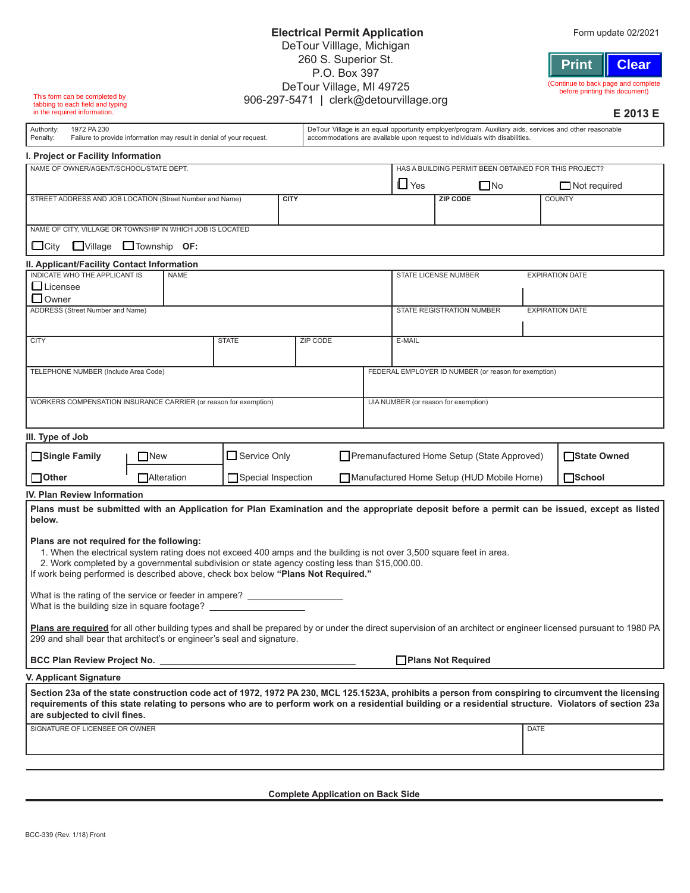| This form can be completed by                                                                                                                                                                                                                                                                                                                             |                                              |              | DeTour Village, MI 49725<br>906-297-5471   clerk@detourvillage.org |                                                                                                                                                                                       |        |                                           |                                                       |                        | (Continue to back page and complete<br>before printing this document)                                                                                                                                                                                                                                       |  |
|-----------------------------------------------------------------------------------------------------------------------------------------------------------------------------------------------------------------------------------------------------------------------------------------------------------------------------------------------------------|----------------------------------------------|--------------|--------------------------------------------------------------------|---------------------------------------------------------------------------------------------------------------------------------------------------------------------------------------|--------|-------------------------------------------|-------------------------------------------------------|------------------------|-------------------------------------------------------------------------------------------------------------------------------------------------------------------------------------------------------------------------------------------------------------------------------------------------------------|--|
| tabbing to each field and typing<br>in the required information.                                                                                                                                                                                                                                                                                          |                                              |              |                                                                    |                                                                                                                                                                                       |        |                                           |                                                       |                        | E 2013 E                                                                                                                                                                                                                                                                                                    |  |
| 1972 PA 230<br>Authority:<br>Penalty:<br>Failure to provide information may result in denial of your request.                                                                                                                                                                                                                                             |                                              |              |                                                                    | DeTour Village is an equal opportunity employer/program. Auxiliary aids, services and other reasonable<br>accommodations are available upon request to individuals with disabilities. |        |                                           |                                                       |                        |                                                                                                                                                                                                                                                                                                             |  |
| I. Project or Facility Information                                                                                                                                                                                                                                                                                                                        |                                              |              |                                                                    |                                                                                                                                                                                       |        |                                           |                                                       |                        |                                                                                                                                                                                                                                                                                                             |  |
| NAME OF OWNER/AGENT/SCHOOL/STATE DEPT.                                                                                                                                                                                                                                                                                                                    |                                              |              |                                                                    |                                                                                                                                                                                       |        |                                           | HAS A BUILDING PERMIT BEEN OBTAINED FOR THIS PROJECT? |                        |                                                                                                                                                                                                                                                                                                             |  |
|                                                                                                                                                                                                                                                                                                                                                           |                                              |              |                                                                    | $\Box$ Yes                                                                                                                                                                            |        |                                           | $\square$ No                                          |                        | $\Box$ Not required                                                                                                                                                                                                                                                                                         |  |
| <b>CITY</b><br>STREET ADDRESS AND JOB LOCATION (Street Number and Name)                                                                                                                                                                                                                                                                                   |                                              |              |                                                                    |                                                                                                                                                                                       |        |                                           | <b>ZIP CODE</b>                                       |                        | <b>COUNTY</b>                                                                                                                                                                                                                                                                                               |  |
| NAME OF CITY, VILLAGE OR TOWNSHIP IN WHICH JOB IS LOCATED                                                                                                                                                                                                                                                                                                 |                                              |              |                                                                    |                                                                                                                                                                                       |        |                                           |                                                       |                        |                                                                                                                                                                                                                                                                                                             |  |
| $\Box$ City<br>$\Box$ Village                                                                                                                                                                                                                                                                                                                             | $\Box$ Township OF:                          |              |                                                                    |                                                                                                                                                                                       |        |                                           |                                                       |                        |                                                                                                                                                                                                                                                                                                             |  |
| II. Applicant/Facility Contact Information                                                                                                                                                                                                                                                                                                                |                                              |              |                                                                    |                                                                                                                                                                                       |        |                                           |                                                       |                        |                                                                                                                                                                                                                                                                                                             |  |
| Licensee<br><b>Owner</b>                                                                                                                                                                                                                                                                                                                                  | INDICATE WHO THE APPLICANT IS<br><b>NAME</b> |              |                                                                    | <b>STATE LICENSE NUMBER</b>                                                                                                                                                           |        |                                           |                                                       | <b>EXPIRATION DATE</b> |                                                                                                                                                                                                                                                                                                             |  |
| ADDRESS (Street Number and Name)                                                                                                                                                                                                                                                                                                                          |                                              |              |                                                                    |                                                                                                                                                                                       |        |                                           | <b>EXPIRATION DATE</b><br>STATE REGISTRATION NUMBER   |                        |                                                                                                                                                                                                                                                                                                             |  |
|                                                                                                                                                                                                                                                                                                                                                           |                                              |              |                                                                    |                                                                                                                                                                                       |        |                                           |                                                       |                        |                                                                                                                                                                                                                                                                                                             |  |
| <b>CITY</b>                                                                                                                                                                                                                                                                                                                                               | <b>STATE</b>                                 |              | ZIP CODE                                                           |                                                                                                                                                                                       | E-MAIL |                                           |                                                       |                        |                                                                                                                                                                                                                                                                                                             |  |
|                                                                                                                                                                                                                                                                                                                                                           |                                              |              |                                                                    |                                                                                                                                                                                       |        |                                           |                                                       |                        |                                                                                                                                                                                                                                                                                                             |  |
| TELEPHONE NUMBER (Include Area Code)                                                                                                                                                                                                                                                                                                                      |                                              |              |                                                                    |                                                                                                                                                                                       |        |                                           | FEDERAL EMPLOYER ID NUMBER (or reason for exemption)  |                        |                                                                                                                                                                                                                                                                                                             |  |
|                                                                                                                                                                                                                                                                                                                                                           |                                              |              |                                                                    |                                                                                                                                                                                       |        |                                           |                                                       |                        |                                                                                                                                                                                                                                                                                                             |  |
| WORKERS COMPENSATION INSURANCE CARRIER (or reason for exemption)                                                                                                                                                                                                                                                                                          |                                              |              |                                                                    |                                                                                                                                                                                       |        |                                           | UIA NUMBER (or reason for exemption)                  |                        |                                                                                                                                                                                                                                                                                                             |  |
|                                                                                                                                                                                                                                                                                                                                                           |                                              |              |                                                                    |                                                                                                                                                                                       |        |                                           |                                                       |                        |                                                                                                                                                                                                                                                                                                             |  |
| III. Type of Job                                                                                                                                                                                                                                                                                                                                          |                                              |              |                                                                    |                                                                                                                                                                                       |        |                                           |                                                       |                        |                                                                                                                                                                                                                                                                                                             |  |
| Single Family                                                                                                                                                                                                                                                                                                                                             | <b>TNew</b>                                  | Service Only |                                                                    | Premanufactured Home Setup (State Approved)                                                                                                                                           |        |                                           |                                                       |                        | State Owned                                                                                                                                                                                                                                                                                                 |  |
| $\Box$ Other                                                                                                                                                                                                                                                                                                                                              | <b>Alteration</b>                            |              | Special Inspection                                                 |                                                                                                                                                                                       |        | Manufactured Home Setup (HUD Mobile Home) |                                                       |                        | <b>□</b> School                                                                                                                                                                                                                                                                                             |  |
| IV. Plan Review Information                                                                                                                                                                                                                                                                                                                               |                                              |              |                                                                    |                                                                                                                                                                                       |        |                                           |                                                       |                        |                                                                                                                                                                                                                                                                                                             |  |
| below.                                                                                                                                                                                                                                                                                                                                                    |                                              |              |                                                                    |                                                                                                                                                                                       |        |                                           |                                                       |                        | Plans must be submitted with an Application for Plan Examination and the appropriate deposit before a permit can be issued, except as listed                                                                                                                                                                |  |
| Plans are not required for the following:<br>1. When the electrical system rating does not exceed 400 amps and the building is not over 3,500 square feet in area.<br>2. Work completed by a governmental subdivision or state agency costing less than \$15,000.00.<br>If work being performed is described above, check box below "Plans Not Required." |                                              |              |                                                                    |                                                                                                                                                                                       |        |                                           |                                                       |                        |                                                                                                                                                                                                                                                                                                             |  |
| What is the rating of the service or feeder in ampere? _________________________<br>What is the building size in square footage?                                                                                                                                                                                                                          |                                              |              |                                                                    |                                                                                                                                                                                       |        |                                           |                                                       |                        |                                                                                                                                                                                                                                                                                                             |  |
| 299 and shall bear that architect's or engineer's seal and signature.                                                                                                                                                                                                                                                                                     |                                              |              |                                                                    |                                                                                                                                                                                       |        |                                           |                                                       |                        | Plans are required for all other building types and shall be prepared by or under the direct supervision of an architect or engineer licensed pursuant to 1980 PA                                                                                                                                           |  |
| □ Plans Not Required                                                                                                                                                                                                                                                                                                                                      |                                              |              |                                                                    |                                                                                                                                                                                       |        |                                           |                                                       |                        |                                                                                                                                                                                                                                                                                                             |  |
| V. Applicant Signature                                                                                                                                                                                                                                                                                                                                    |                                              |              |                                                                    |                                                                                                                                                                                       |        |                                           |                                                       |                        |                                                                                                                                                                                                                                                                                                             |  |
| are subjected to civil fines.                                                                                                                                                                                                                                                                                                                             |                                              |              |                                                                    |                                                                                                                                                                                       |        |                                           |                                                       |                        | Section 23a of the state construction code act of 1972, 1972 PA 230, MCL 125.1523A, prohibits a person from conspiring to circumvent the licensing<br>requirements of this state relating to persons who are to perform work on a residential building or a residential structure. Violators of section 23a |  |
| SIGNATURE OF LICENSEE OR OWNER                                                                                                                                                                                                                                                                                                                            |                                              |              |                                                                    |                                                                                                                                                                                       |        |                                           | DATE                                                  |                        |                                                                                                                                                                                                                                                                                                             |  |
|                                                                                                                                                                                                                                                                                                                                                           |                                              |              |                                                                    |                                                                                                                                                                                       |        |                                           |                                                       |                        |                                                                                                                                                                                                                                                                                                             |  |
|                                                                                                                                                                                                                                                                                                                                                           |                                              |              |                                                                    |                                                                                                                                                                                       |        |                                           |                                                       |                        |                                                                                                                                                                                                                                                                                                             |  |

DeTour Villlage, Michigan 260 S. Superior St. P.O. Box 397

**Electrical Permit Application** Form update 02/2021

**Print Print Clear Clear**